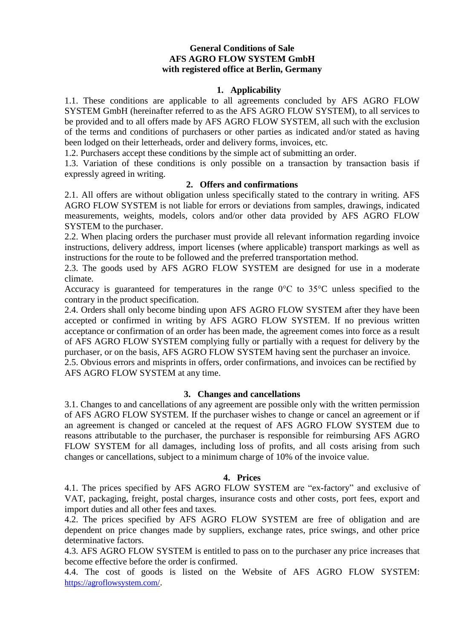# **General Conditions of Sale AFS AGRO FLOW SYSTEM GmbH with registered office at Berlin, Germany**

### **1. Applicability**

1.1. These conditions are applicable to all agreements concluded by AFS AGRO FLOW SYSTEM GmbH (hereinafter referred to as the AFS AGRO FLOW SYSTEM), to all services to be provided and to all offers made by AFS AGRO FLOW SYSTEM, all such with the exclusion of the terms and conditions of purchasers or other parties as indicated and/or stated as having been lodged on their letterheads, order and delivery forms, invoices, etc.

1.2. Purchasers accept these conditions by the simple act of submitting an order.

1.3. Variation of these conditions is only possible on a transaction by transaction basis if expressly agreed in writing.

## **2. Offers and confirmations**

2.1. All offers are without obligation unless specifically stated to the contrary in writing. AFS AGRO FLOW SYSTEM is not liable for errors or deviations from samples, drawings, indicated measurements, weights, models, colors and/or other data provided by AFS AGRO FLOW SYSTEM to the purchaser.

2.2. When placing orders the purchaser must provide all relevant information regarding invoice instructions, delivery address, import licenses (where applicable) transport markings as well as instructions for the route to be followed and the preferred transportation method.

2.3. The goods used by AFS AGRO FLOW SYSTEM are designed for use in a moderate climate.

Accuracy is guaranteed for temperatures in the range 0°C to 35°C unless specified to the contrary in the product specification.

2.4. Orders shall only become binding upon AFS AGRO FLOW SYSTEM after they have been accepted or confirmed in writing by AFS AGRO FLOW SYSTEM. If no previous written acceptance or confirmation of an order has been made, the agreement comes into force as a result of AFS AGRO FLOW SYSTEM complying fully or partially with a request for delivery by the purchaser, or on the basis, AFS AGRO FLOW SYSTEM having sent the purchaser an invoice.

2.5. Obvious errors and misprints in offers, order confirmations, and invoices can be rectified by AFS AGRO FLOW SYSTEM at any time.

### **3. Changes and cancellations**

3.1. Changes to and cancellations of any agreement are possible only with the written permission of AFS AGRO FLOW SYSTEM. If the purchaser wishes to change or cancel an agreement or if an agreement is changed or canceled at the request of AFS AGRO FLOW SYSTEM due to reasons attributable to the purchaser, the purchaser is responsible for reimbursing AFS AGRO FLOW SYSTEM for all damages, including loss of profits, and all costs arising from such changes or cancellations, subject to a minimum charge of 10% of the invoice value.

### **4. Prices**

4.1. The prices specified by AFS AGRO FLOW SYSTEM are "ex-factory" and exclusive of VAT, packaging, freight, postal charges, insurance costs and other costs, port fees, export and import duties and all other fees and taxes.

4.2. The prices specified by AFS AGRO FLOW SYSTEM are free of obligation and are dependent on price changes made by suppliers, exchange rates, price swings, and other price determinative factors.

4.3. AFS AGRO FLOW SYSTEM is entitled to pass on to the purchaser any price increases that become effective before the order is confirmed.

4.4. The cost of goods is listed on the Website of AFS AGRO FLOW SYSTEM: <https://agroflowsystem.com/>.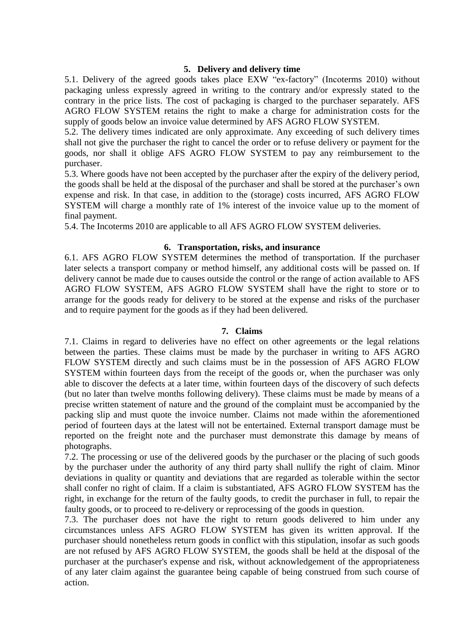## **5. Delivery and delivery time**

5.1. Delivery of the agreed goods takes place EXW "ex-factory" (Incoterms 2010) without packaging unless expressly agreed in writing to the contrary and/or expressly stated to the contrary in the price lists. The cost of packaging is charged to the purchaser separately. AFS AGRO FLOW SYSTEM retains the right to make a charge for administration costs for the supply of goods below an invoice value determined by AFS AGRO FLOW SYSTEM.

5.2. The delivery times indicated are only approximate. Any exceeding of such delivery times shall not give the purchaser the right to cancel the order or to refuse delivery or payment for the goods, nor shall it oblige AFS AGRO FLOW SYSTEM to pay any reimbursement to the purchaser.

5.3. Where goods have not been accepted by the purchaser after the expiry of the delivery period, the goods shall be held at the disposal of the purchaser and shall be stored at the purchaser's own expense and risk. In that case, in addition to the (storage) costs incurred, AFS AGRO FLOW SYSTEM will charge a monthly rate of 1% interest of the invoice value up to the moment of final payment.

5.4. The Incoterms 2010 are applicable to all AFS AGRO FLOW SYSTEM deliveries.

# **6. Transportation, risks, and insurance**

6.1. AFS AGRO FLOW SYSTEM determines the method of transportation. If the purchaser later selects a transport company or method himself, any additional costs will be passed on. If delivery cannot be made due to causes outside the control or the range of action available to AFS AGRO FLOW SYSTEM, AFS AGRO FLOW SYSTEM shall have the right to store or to arrange for the goods ready for delivery to be stored at the expense and risks of the purchaser and to require payment for the goods as if they had been delivered.

### **7. Claims**

7.1. Claims in regard to deliveries have no effect on other agreements or the legal relations between the parties. These claims must be made by the purchaser in writing to AFS AGRO FLOW SYSTEM directly and such claims must be in the possession of AFS AGRO FLOW SYSTEM within fourteen days from the receipt of the goods or, when the purchaser was only able to discover the defects at a later time, within fourteen days of the discovery of such defects (but no later than twelve months following delivery). These claims must be made by means of a precise written statement of nature and the ground of the complaint must be accompanied by the packing slip and must quote the invoice number. Claims not made within the aforementioned period of fourteen days at the latest will not be entertained. External transport damage must be reported on the freight note and the purchaser must demonstrate this damage by means of photographs.

7.2. The processing or use of the delivered goods by the purchaser or the placing of such goods by the purchaser under the authority of any third party shall nullify the right of claim. Minor deviations in quality or quantity and deviations that are regarded as tolerable within the sector shall confer no right of claim. If a claim is substantiated, AFS AGRO FLOW SYSTEM has the right, in exchange for the return of the faulty goods, to credit the purchaser in full, to repair the faulty goods, or to proceed to re-delivery or reprocessing of the goods in question.

7.3. The purchaser does not have the right to return goods delivered to him under any circumstances unless AFS AGRO FLOW SYSTEM has given its written approval. If the purchaser should nonetheless return goods in conflict with this stipulation, insofar as such goods are not refused by AFS AGRO FLOW SYSTEM, the goods shall be held at the disposal of the purchaser at the purchaser's expense and risk, without acknowledgement of the appropriateness of any later claim against the guarantee being capable of being construed from such course of action.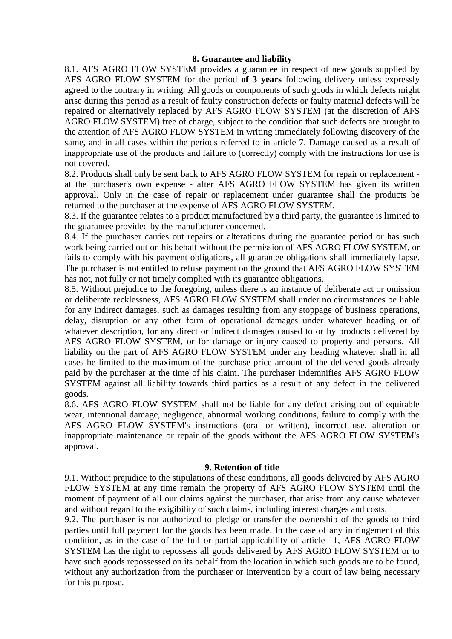#### **8. Guarantee and liability**

8.1. AFS AGRO FLOW SYSTEM provides a guarantee in respect of new goods supplied by AFS AGRO FLOW SYSTEM for the period **of 3 years** following delivery unless expressly agreed to the contrary in writing. All goods or components of such goods in which defects might arise during this period as a result of faulty construction defects or faulty material defects will be repaired or alternatively replaced by AFS AGRO FLOW SYSTEM (at the discretion of AFS AGRO FLOW SYSTEM) free of charge, subject to the condition that such defects are brought to the attention of AFS AGRO FLOW SYSTEM in writing immediately following discovery of the same, and in all cases within the periods referred to in article 7. Damage caused as a result of inappropriate use of the products and failure to (correctly) comply with the instructions for use is not covered.

8.2. Products shall only be sent back to AFS AGRO FLOW SYSTEM for repair or replacement at the purchaser's own expense - after AFS AGRO FLOW SYSTEM has given its written approval. Only in the case of repair or replacement under guarantee shall the products be returned to the purchaser at the expense of AFS AGRO FLOW SYSTEM.

8.3. If the guarantee relates to a product manufactured by a third party, the guarantee is limited to the guarantee provided by the manufacturer concerned.

8.4. If the purchaser carries out repairs or alterations during the guarantee period or has such work being carried out on his behalf without the permission of AFS AGRO FLOW SYSTEM, or fails to comply with his payment obligations, all guarantee obligations shall immediately lapse. The purchaser is not entitled to refuse payment on the ground that AFS AGRO FLOW SYSTEM has not, not fully or not timely complied with its guarantee obligations.

8.5. Without prejudice to the foregoing, unless there is an instance of deliberate act or omission or deliberate recklessness, AFS AGRO FLOW SYSTEM shall under no circumstances be liable for any indirect damages, such as damages resulting from any stoppage of business operations, delay, disruption or any other form of operational damages under whatever heading or of whatever description, for any direct or indirect damages caused to or by products delivered by AFS AGRO FLOW SYSTEM, or for damage or injury caused to property and persons. All liability on the part of AFS AGRO FLOW SYSTEM under any heading whatever shall in all cases be limited to the maximum of the purchase price amount of the delivered goods already paid by the purchaser at the time of his claim. The purchaser indemnifies AFS AGRO FLOW SYSTEM against all liability towards third parties as a result of any defect in the delivered goods.

8.6. AFS AGRO FLOW SYSTEM shall not be liable for any defect arising out of equitable wear, intentional damage, negligence, abnormal working conditions, failure to comply with the AFS AGRO FLOW SYSTEM's instructions (oral or written), incorrect use, alteration or inappropriate maintenance or repair of the goods without the AFS AGRO FLOW SYSTEM's approval.

### **9. Retention of title**

9.1. Without prejudice to the stipulations of these conditions, all goods delivered by AFS AGRO FLOW SYSTEM at any time remain the property of AFS AGRO FLOW SYSTEM until the moment of payment of all our claims against the purchaser, that arise from any cause whatever and without regard to the exigibility of such claims, including interest charges and costs.

9.2. The purchaser is not authorized to pledge or transfer the ownership of the goods to third parties until full payment for the goods has been made. In the case of any infringement of this condition, as in the case of the full or partial applicability of article 11, AFS AGRO FLOW SYSTEM has the right to repossess all goods delivered by AFS AGRO FLOW SYSTEM or to have such goods repossessed on its behalf from the location in which such goods are to be found, without any authorization from the purchaser or intervention by a court of law being necessary for this purpose.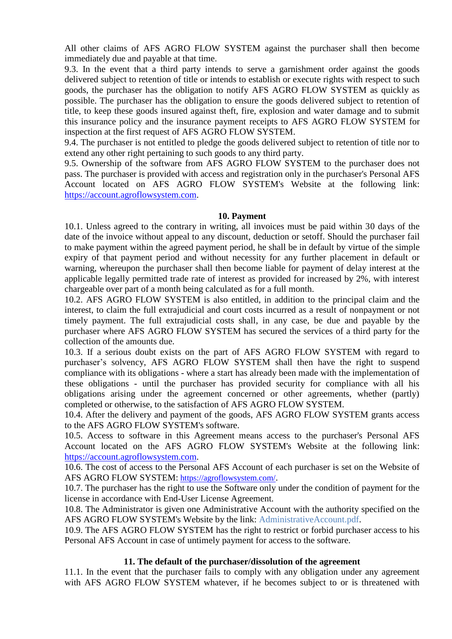All other claims of AFS AGRO FLOW SYSTEM against the purchaser shall then become immediately due and payable at that time.

9.3. In the event that a third party intends to serve a garnishment order against the goods delivered subject to retention of title or intends to establish or execute rights with respect to such goods, the purchaser has the obligation to notify AFS AGRO FLOW SYSTEM as quickly as possible. The purchaser has the obligation to ensure the goods delivered subject to retention of title, to keep these goods insured against theft, fire, explosion and water damage and to submit this insurance policy and the insurance payment receipts to AFS AGRO FLOW SYSTEM for inspection at the first request of AFS AGRO FLOW SYSTEM.

9.4. The purchaser is not entitled to pledge the goods delivered subject to retention of title nor to extend any other right pertaining to such goods to any third party.

9.5. Ownership of the software from AFS AGRO FLOW SYSTEM to the purchaser does not pass. The purchaser is provided with access and registration only in the purchaser's Personal AFS Account located on AFS AGRO FLOW SYSTEM's Website at the following link: [https://account.agroflowsystem.com.](https://account.agroflowsystem.com/)

#### **10. Payment**

10.1. Unless agreed to the contrary in writing, all invoices must be paid within 30 days of the date of the invoice without appeal to any discount, deduction or setoff. Should the purchaser fail to make payment within the agreed payment period, he shall be in default by virtue of the simple expiry of that payment period and without necessity for any further placement in default or warning, whereupon the purchaser shall then become liable for payment of delay interest at the applicable legally permitted trade rate of interest as provided for increased by 2%, with interest chargeable over part of a month being calculated as for a full month.

10.2. AFS AGRO FLOW SYSTEM is also entitled, in addition to the principal claim and the interest, to claim the full extrajudicial and court costs incurred as a result of nonpayment or not timely payment. The full extrajudicial costs shall, in any case, be due and payable by the purchaser where AFS AGRO FLOW SYSTEM has secured the services of a third party for the collection of the amounts due.

10.3. If a serious doubt exists on the part of AFS AGRO FLOW SYSTEM with regard to purchaser's solvency, AFS AGRO FLOW SYSTEM shall then have the right to suspend compliance with its obligations - where a start has already been made with the implementation of these obligations - until the purchaser has provided security for compliance with all his obligations arising under the agreement concerned or other agreements, whether (partly) completed or otherwise, to the satisfaction of AFS AGRO FLOW SYSTEM.

10.4. After the delivery and payment of the goods, AFS AGRO FLOW SYSTEM grants access to the AFS AGRO FLOW SYSTEM's software.

10.5. Access to software in this Agreement means access to the purchaser's Personal AFS Account located on the AFS AGRO FLOW SYSTEM's Website at the following link: [https://account.agroflowsystem.com.](https://account.agroflowsystem.com/)

10.6. The cost of access to the Personal AFS Account of each purchaser is set on the Website of AFS AGRO FLOW SYSTEM: <https://agroflowsystem.com/>.

10.7. The purchaser has the right to use the Software only under the condition of payment for the license in accordance with End-User License Agreement.

10.8. The Administrator is given one Administrative Account with the authority specified on the AFS AGRO FLOW SYSTEM's Website by the link: AdministrativeAccount.pdf.

10.9. The AFS AGRO FLOW SYSTEM has the right to restrict or forbid purchaser access to his Personal AFS Account in case of untimely payment for access to the software.

### **11. The default of the purchaser/dissolution of the agreement**

11.1. In the event that the purchaser fails to comply with any obligation under any agreement with AFS AGRO FLOW SYSTEM whatever, if he becomes subject to or is threatened with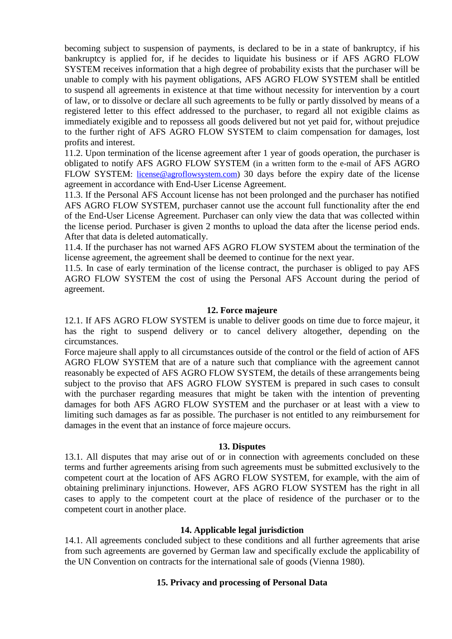becoming subject to suspension of payments, is declared to be in a state of bankruptcy, if his bankruptcy is applied for, if he decides to liquidate his business or if AFS AGRO FLOW SYSTEM receives information that a high degree of probability exists that the purchaser will be unable to comply with his payment obligations, AFS AGRO FLOW SYSTEM shall be entitled to suspend all agreements in existence at that time without necessity for intervention by a court of law, or to dissolve or declare all such agreements to be fully or partly dissolved by means of a registered letter to this effect addressed to the purchaser, to regard all not exigible claims as immediately exigible and to repossess all goods delivered but not yet paid for, without prejudice to the further right of AFS AGRO FLOW SYSTEM to claim compensation for damages, lost profits and interest.

11.2. Upon termination of the license agreement after 1 year of goods operation, the purchaser is obligated to notify AFS AGRO FLOW SYSTEM (in a written form to the e-mail of AFS AGRO FLOW SYSTEM: [license@agroflowsystem.com\)](mailto:license@agroflowsystem.com) 30 days before the expiry date of the license agreement in accordance with End-User License Agreement.

11.3. If the Personal AFS Account license has not been prolonged and the purchaser has notified AFS AGRO FLOW SYSTEM, purchaser cannot use the account full functionality after the end of the End-User License Agreement. Purchaser can only view the data that was collected within the license period. Purchaser is given 2 months to upload the data after the license period ends. After that data is deleted automatically.

11.4. If the purchaser has not warned AFS AGRO FLOW SYSTEM about the termination of the license agreement, the agreement shall be deemed to continue for the next year.

11.5. In case of early termination of the license contract, the purchaser is obliged to pay AFS AGRO FLOW SYSTEM the cost of using the Personal AFS Account during the period of agreement.

#### **12. Force majeure**

12.1. If AFS AGRO FLOW SYSTEM is unable to deliver goods on time due to force majeur, it has the right to suspend delivery or to cancel delivery altogether, depending on the circumstances.

Force majeure shall apply to all circumstances outside of the control or the field of action of AFS AGRO FLOW SYSTEM that are of a nature such that compliance with the agreement cannot reasonably be expected of AFS AGRO FLOW SYSTEM, the details of these arrangements being subject to the proviso that AFS AGRO FLOW SYSTEM is prepared in such cases to consult with the purchaser regarding measures that might be taken with the intention of preventing damages for both AFS AGRO FLOW SYSTEM and the purchaser or at least with a view to limiting such damages as far as possible. The purchaser is not entitled to any reimbursement for damages in the event that an instance of force majeure occurs.

#### **13. Disputes**

13.1. All disputes that may arise out of or in connection with agreements concluded on these terms and further agreements arising from such agreements must be submitted exclusively to the competent court at the location of AFS AGRO FLOW SYSTEM, for example, with the aim of obtaining preliminary injunctions. However, AFS AGRO FLOW SYSTEM has the right in all cases to apply to the competent court at the place of residence of the purchaser or to the competent court in another place.

### **14. Applicable legal jurisdiction**

14.1. All agreements concluded subject to these conditions and all further agreements that arise from such agreements are governed by German law and specifically exclude the applicability of the UN Convention on contracts for the international sale of goods (Vienna 1980).

# **15. Privacy and processing of Personal Data**